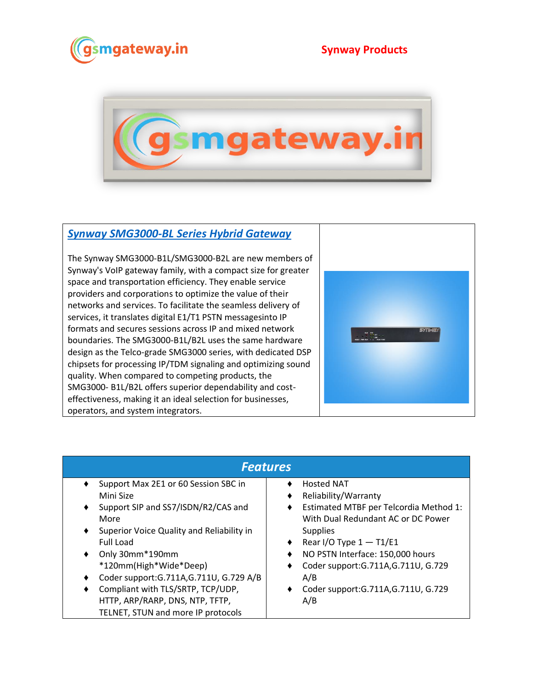

## **Synway Products**



## *[Synway SMG3000-BL Series Hybrid Gateway](https://www.gsmgateway.in/synway/SMG3000-BL-Series-Hybrid-Gateway.html)*

The Synway SMG3000-B1L/SMG3000-B2L are new members of Synway's VoIP gateway family, with a compact size for greater space and transportation efficiency. They enable service providers and corporations to optimize the value of their networks and services. To facilitate the seamless delivery of services, it translates digital E1/T1 PSTN messagesinto IP formats and secures sessions across IP and mixed network boundaries. The SMG3000-B1L/B2L uses the same hardware design as the Telco-grade SMG3000 series, with dedicated DSP chipsets for processing IP/TDM signaling and optimizing sound quality. When compared to competing products, the SMG3000- B1L/B2L offers superior dependability and costeffectiveness, making it an ideal selection for businesses, operators, and system integrators.



| Features                                       |                                           |  |
|------------------------------------------------|-------------------------------------------|--|
| Support Max 2E1 or 60 Session SBC in           | <b>Hosted NAT</b>                         |  |
| Mini Size                                      | Reliability/Warranty<br>٠                 |  |
| Support SIP and SS7/ISDN/R2/CAS and<br>٠       | Estimated MTBF per Telcordia Method 1:    |  |
| More                                           | With Dual Redundant AC or DC Power        |  |
| Superior Voice Quality and Reliability in<br>٠ | <b>Supplies</b>                           |  |
| <b>Full Load</b>                               | Rear I/O Type $1 - T1/E1$<br>٠            |  |
| Only 30mm*190mm<br>٠                           | NO PSTN Interface: 150,000 hours<br>٠     |  |
| *120mm(High*Wide*Deep)                         | Coder support: G.711A, G.711U, G.729<br>٠ |  |
| Coder support: G.711A, G.711U, G.729 A/B<br>٠  | A/B                                       |  |
| Compliant with TLS/SRTP, TCP/UDP,<br>٠         | Coder support: G.711A, G.711U, G.729      |  |
| HTTP, ARP/RARP, DNS, NTP, TFTP,                | A/B                                       |  |
| TELNET, STUN and more IP protocols             |                                           |  |